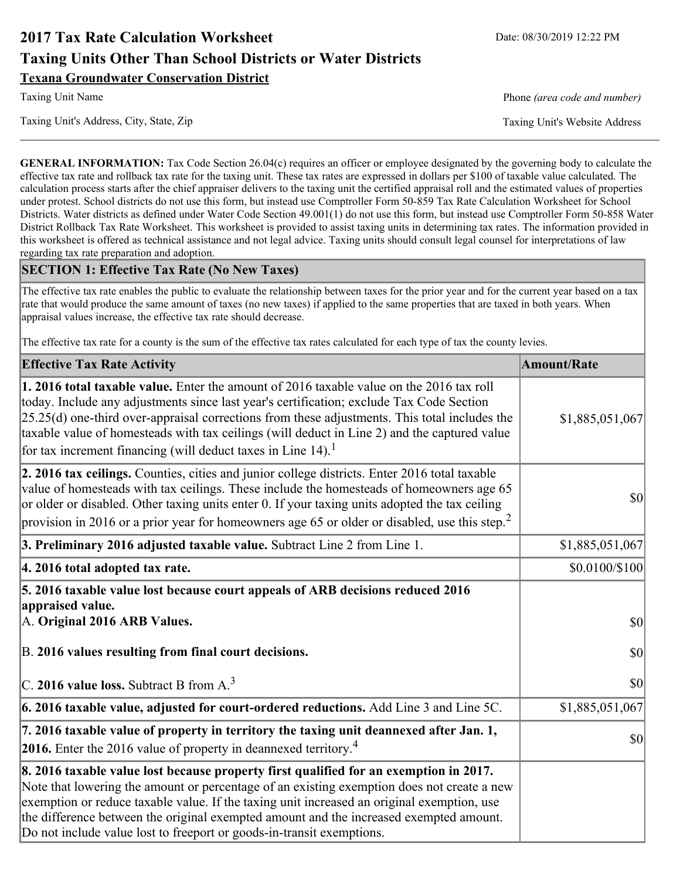# **2017 Tax Rate Calculation Worksheet** Date: 08/30/2019 12:22 PM **Taxing Units Other Than School Districts or Water Districts Texana Groundwater Conservation District**

Taxing Unit's Address, City, State, Zip Taxing Unit's Website Address

Taxing Unit Name **Phone** *(area code and number)* Phone *(area code and number)* 

**GENERAL INFORMATION:** Tax Code Section 26.04(c) requires an officer or employee designated by the governing body to calculate the effective tax rate and rollback tax rate for the taxing unit. These tax rates are expressed in dollars per \$100 of taxable value calculated. The calculation process starts after the chief appraiser delivers to the taxing unit the certified appraisal roll and the estimated values of properties under protest. School districts do not use this form, but instead use Comptroller Form 50-859 Tax Rate Calculation Worksheet for School Districts. Water districts as defined under Water Code Section 49.001(1) do not use this form, but instead use Comptroller Form 50-858 Water District Rollback Tax Rate Worksheet. This worksheet is provided to assist taxing units in determining tax rates. The information provided in this worksheet is offered as technical assistance and not legal advice. Taxing units should consult legal counsel for interpretations of law regarding tax rate preparation and adoption.

### **SECTION 1: Effective Tax Rate (No New Taxes)**

The effective tax rate enables the public to evaluate the relationship between taxes for the prior year and for the current year based on a tax rate that would produce the same amount of taxes (no new taxes) if applied to the same properties that are taxed in both years. When appraisal values increase, the effective tax rate should decrease.

The effective tax rate for a county is the sum of the effective tax rates calculated for each type of tax the county levies.

| <b>Effective Tax Rate Activity</b>                                                                                                                                                                                                                                                                                                                                                                                                                                             | <b>Amount/Rate</b> |
|--------------------------------------------------------------------------------------------------------------------------------------------------------------------------------------------------------------------------------------------------------------------------------------------------------------------------------------------------------------------------------------------------------------------------------------------------------------------------------|--------------------|
| <b>1. 2016 total taxable value.</b> Enter the amount of 2016 taxable value on the 2016 tax roll<br>today. Include any adjustments since last year's certification; exclude Tax Code Section<br>$[25.25(d)$ one-third over-appraisal corrections from these adjustments. This total includes the<br>taxable value of homesteads with tax ceilings (will deduct in Line 2) and the captured value<br>for tax increment financing (will deduct taxes in Line $14$ ). <sup>1</sup> | \$1,885,051,067    |
| 2. 2016 tax ceilings. Counties, cities and junior college districts. Enter 2016 total taxable<br>value of homesteads with tax ceilings. These include the homesteads of homeowners age 65<br>or older or disabled. Other taxing units enter 0. If your taxing units adopted the tax ceiling<br>provision in 2016 or a prior year for homeowners age 65 or older or disabled, use this step. <sup>2</sup>                                                                       | 30                 |
| 3. Preliminary 2016 adjusted taxable value. Subtract Line 2 from Line 1.                                                                                                                                                                                                                                                                                                                                                                                                       | \$1,885,051,067    |
| 4. 2016 total adopted tax rate.                                                                                                                                                                                                                                                                                                                                                                                                                                                | \$0.0100/\$100     |
| 5. 2016 taxable value lost because court appeals of ARB decisions reduced 2016<br>appraised value.<br>A. Original 2016 ARB Values.                                                                                                                                                                                                                                                                                                                                             | $ 10\rangle$       |
| B. 2016 values resulting from final court decisions.                                                                                                                                                                                                                                                                                                                                                                                                                           | 30                 |
| C. 2016 value loss. Subtract B from $A3$                                                                                                                                                                                                                                                                                                                                                                                                                                       | 30                 |
| 6. 2016 taxable value, adjusted for court-ordered reductions. Add Line 3 and Line 5C.                                                                                                                                                                                                                                                                                                                                                                                          | \$1,885,051,067    |
| 7. 2016 taxable value of property in territory the taxing unit deannexed after Jan. 1,<br><b>2016.</b> Enter the 2016 value of property in deannexed territory. <sup>4</sup>                                                                                                                                                                                                                                                                                                   | $ 10\rangle$       |
| 8. 2016 taxable value lost because property first qualified for an exemption in 2017.<br>Note that lowering the amount or percentage of an existing exemption does not create a new<br>exemption or reduce taxable value. If the taxing unit increased an original exemption, use<br>the difference between the original exempted amount and the increased exempted amount.<br>Do not include value lost to freeport or goods-in-transit exemptions.                           |                    |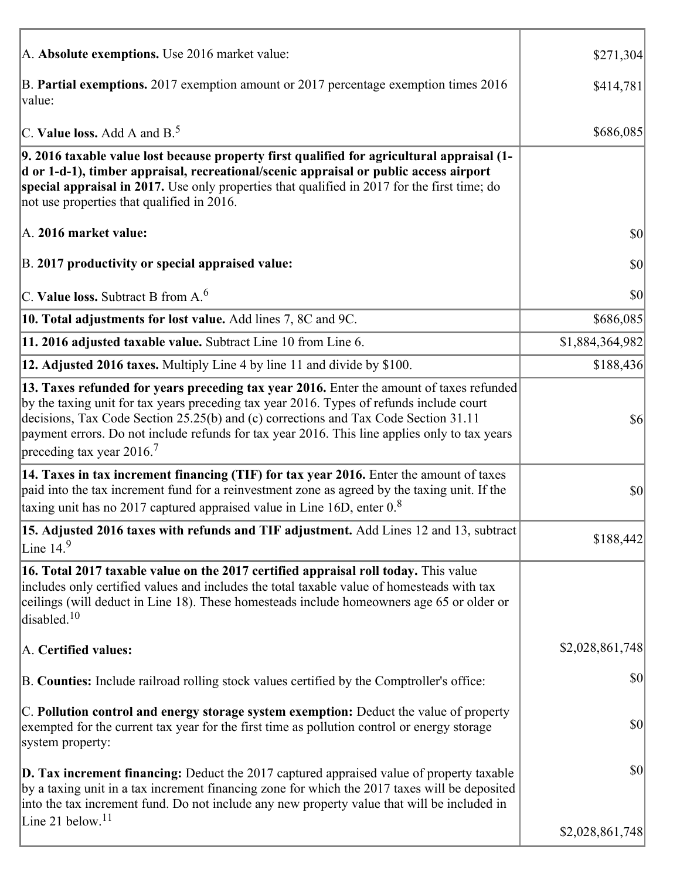| A. Absolute exemptions. Use 2016 market value:                                                                                                                                                                                                                                                                                                                                                                         | \$271,304       |
|------------------------------------------------------------------------------------------------------------------------------------------------------------------------------------------------------------------------------------------------------------------------------------------------------------------------------------------------------------------------------------------------------------------------|-----------------|
| B. Partial exemptions. 2017 exemption amount or 2017 percentage exemption times 2016<br>value:                                                                                                                                                                                                                                                                                                                         | \$414,781       |
| C. Value loss. Add A and $B^5$ .                                                                                                                                                                                                                                                                                                                                                                                       | \$686,085       |
| 9. 2016 taxable value lost because property first qualified for agricultural appraisal (1-<br>d or 1-d-1), timber appraisal, recreational/scenic appraisal or public access airport<br>special appraisal in 2017. Use only properties that qualified in 2017 for the first time; do<br>not use properties that qualified in 2016.                                                                                      |                 |
| A. 2016 market value:                                                                                                                                                                                                                                                                                                                                                                                                  | $ 10\rangle$    |
| B. 2017 productivity or special appraised value:                                                                                                                                                                                                                                                                                                                                                                       | \$0             |
| C. Value loss. Subtract B from $A6$                                                                                                                                                                                                                                                                                                                                                                                    | \$0             |
| 10. Total adjustments for lost value. Add lines 7, 8C and 9C.                                                                                                                                                                                                                                                                                                                                                          | \$686,085       |
| 11. 2016 adjusted taxable value. Subtract Line 10 from Line 6.                                                                                                                                                                                                                                                                                                                                                         | \$1,884,364,982 |
| 12. Adjusted 2016 taxes. Multiply Line 4 by line 11 and divide by \$100.                                                                                                                                                                                                                                                                                                                                               | \$188,436       |
| 13. Taxes refunded for years preceding tax year 2016. Enter the amount of taxes refunded<br>by the taxing unit for tax years preceding tax year 2016. Types of refunds include court<br>decisions, Tax Code Section 25.25(b) and (c) corrections and Tax Code Section 31.11<br>payment errors. Do not include refunds for tax year 2016. This line applies only to tax years<br>preceding tax year $2016$ <sup>7</sup> | $\sqrt[6]{6}$   |
| 14. Taxes in tax increment financing (TIF) for tax year 2016. Enter the amount of taxes<br>paid into the tax increment fund for a reinvestment zone as agreed by the taxing unit. If the<br>taxing unit has no 2017 captured appraised value in Line 16D, enter $0.8$                                                                                                                                                  | \$0             |
| 15. Adjusted 2016 taxes with refunds and TIF adjustment. Add Lines 12 and 13, subtract<br>Line $149$                                                                                                                                                                                                                                                                                                                   | \$188,442       |
| 16. Total 2017 taxable value on the 2017 certified appraisal roll today. This value<br>includes only certified values and includes the total taxable value of homesteads with tax<br>ceilings (will deduct in Line 18). These homesteads include homeowners age 65 or older or<br>disabled. $10$                                                                                                                       |                 |
| A. Certified values:                                                                                                                                                                                                                                                                                                                                                                                                   | \$2,028,861,748 |
| B. Counties: Include railroad rolling stock values certified by the Comptroller's office:                                                                                                                                                                                                                                                                                                                              | \$0             |
| C. Pollution control and energy storage system exemption: Deduct the value of property<br>exempted for the current tax year for the first time as pollution control or energy storage<br>system property:                                                                                                                                                                                                              | \$0             |
| <b>D. Tax increment financing:</b> Deduct the 2017 captured appraised value of property taxable<br>by a taxing unit in a tax increment financing zone for which the 2017 taxes will be deposited<br>into the tax increment fund. Do not include any new property value that will be included in                                                                                                                        | \$0             |
| Line 21 below. <sup>11</sup>                                                                                                                                                                                                                                                                                                                                                                                           | \$2,028,861,748 |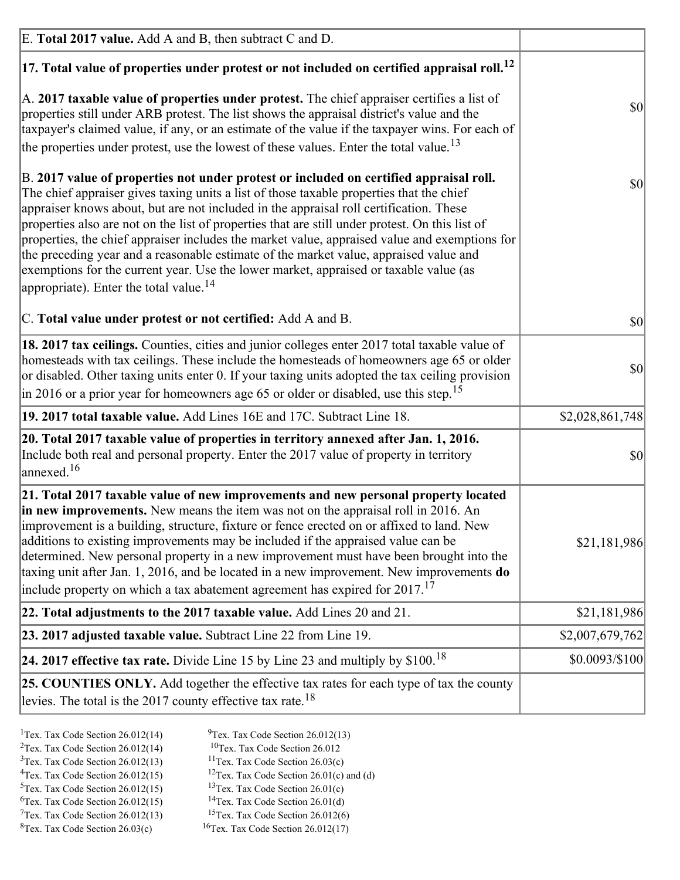| E. Total 2017 value. Add A and B, then subtract C and D.                                                                                                                                                                                                                                                                                                                                                                                                                                                                                                                                                                                                                                                                 |                 |
|--------------------------------------------------------------------------------------------------------------------------------------------------------------------------------------------------------------------------------------------------------------------------------------------------------------------------------------------------------------------------------------------------------------------------------------------------------------------------------------------------------------------------------------------------------------------------------------------------------------------------------------------------------------------------------------------------------------------------|-----------------|
| $ 17$ . Total value of properties under protest or not included on certified appraisal roll. <sup>12</sup>                                                                                                                                                                                                                                                                                                                                                                                                                                                                                                                                                                                                               |                 |
| A. 2017 taxable value of properties under protest. The chief appraiser certifies a list of<br>properties still under ARB protest. The list shows the appraisal district's value and the<br>taxpayer's claimed value, if any, or an estimate of the value if the taxpayer wins. For each of<br>the properties under protest, use the lowest of these values. Enter the total value. <sup>13</sup>                                                                                                                                                                                                                                                                                                                         | \$0             |
| B. 2017 value of properties not under protest or included on certified appraisal roll.<br>The chief appraiser gives taxing units a list of those taxable properties that the chief<br>appraiser knows about, but are not included in the appraisal roll certification. These<br>properties also are not on the list of properties that are still under protest. On this list of<br>properties, the chief appraiser includes the market value, appraised value and exemptions for<br>the preceding year and a reasonable estimate of the market value, appraised value and<br>exemptions for the current year. Use the lower market, appraised or taxable value (as<br>appropriate). Enter the total value. <sup>14</sup> | <b>\$0</b>      |
| C. Total value under protest or not certified: Add A and B.                                                                                                                                                                                                                                                                                                                                                                                                                                                                                                                                                                                                                                                              | $ 10\rangle$    |
| 18. 2017 tax ceilings. Counties, cities and junior colleges enter 2017 total taxable value of<br>homesteads with tax ceilings. These include the homesteads of homeowners age 65 or older<br>or disabled. Other taxing units enter 0. If your taxing units adopted the tax ceiling provision<br>$\vert$ in 2016 or a prior year for homeowners age 65 or older or disabled, use this step. <sup>15</sup>                                                                                                                                                                                                                                                                                                                 | \$0             |
| 19. 2017 total taxable value. Add Lines 16E and 17C. Subtract Line 18.                                                                                                                                                                                                                                                                                                                                                                                                                                                                                                                                                                                                                                                   | \$2,028,861,748 |
| 20. Total 2017 taxable value of properties in territory annexed after Jan. 1, 2016.<br>Include both real and personal property. Enter the 2017 value of property in territory<br>$\text{lanned}$ . <sup>16</sup>                                                                                                                                                                                                                                                                                                                                                                                                                                                                                                         | $ 10\rangle$    |
| 21. Total 2017 taxable value of new improvements and new personal property located<br>in new improvements. New means the item was not on the appraisal roll in 2016. An<br>improvement is a building, structure, fixture or fence erected on or affixed to land. New<br>additions to existing improvements may be included if the appraised value can be<br>determined. New personal property in a new improvement must have been brought into the<br>taxing unit after Jan. 1, 2016, and be located in a new improvement. New improvements <b>do</b><br>include property on which a tax abatement agreement has expired for $2017$ . <sup>17</sup>                                                                      | \$21,181,986    |
| 22. Total adjustments to the 2017 taxable value. Add Lines 20 and 21.                                                                                                                                                                                                                                                                                                                                                                                                                                                                                                                                                                                                                                                    | \$21,181,986    |
| 23. 2017 adjusted taxable value. Subtract Line 22 from Line 19.                                                                                                                                                                                                                                                                                                                                                                                                                                                                                                                                                                                                                                                          | \$2,007,679,762 |
| 24. 2017 effective tax rate. Divide Line 15 by Line 23 and multiply by $$100$ . <sup>18</sup>                                                                                                                                                                                                                                                                                                                                                                                                                                                                                                                                                                                                                            | \$0.0093/\$100  |
| <b>25. COUNTIES ONLY.</b> Add together the effective tax rates for each type of tax the county<br>levies. The total is the 2017 county effective tax rate. <sup>18</sup>                                                                                                                                                                                                                                                                                                                                                                                                                                                                                                                                                 |                 |

- <sup>2</sup>Tex. Tax Code Section 26.012(14)
- <sup>1</sup>Tex. Tax Code Section 26.012(14) <sup>9</sup>Tex. Tax Code Section 26.012(13) <sup>9</sup>Tex. Tax Code Section 26.012
	-
- <sup>3</sup>Tex. Tax Code Section 26.012(13) <sup>11</sup>Tex. Tax Code Section 26.03(c) <sup>4</sup>Tex. Tax Code Section 26.01(c) and <sup>12</sup>Tex. Tax Code Section 26.01(c) and <sup>12</sup>Tex. Tax Code Section 26.01(c) and <sup>12</sup>Tex. Tax Code Section 26.01(c)
	- <sup>12</sup>Tex. Tax Code Section 26.01(c) and (d)
	-
- <sup>5</sup>Tex. Tax Code Section 26.012(15) <sup>13</sup>Tex. Tax Code Section 26.01(c) <sup>6</sup>Tex. Tax Code Section 26.01(d)
- <sup>6</sup>Tex. Tax Code Section 26.012(15) <sup>14</sup>Tex. Tax Code Section 26.01(d)<sup>7</sup>Tex. Tax Code Section 26.012(6)  $7$ Tex. Tax Code Section 26.012(13)
- 
- ${}^{8}$ Tex. Tax Code Section 26.03(c)  ${}^{16}$ Tex. Tax Code Section 26.012(17)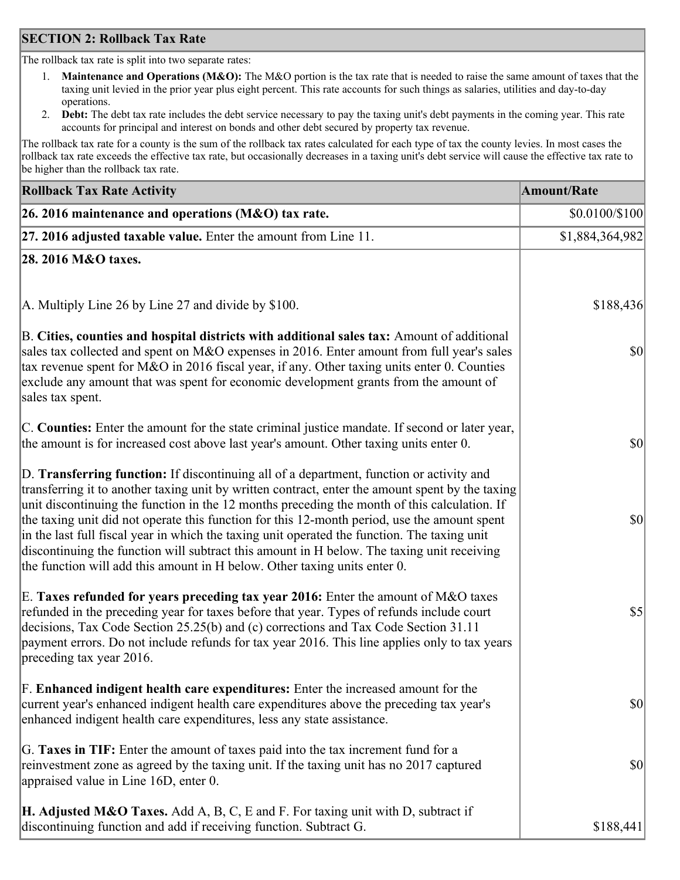### **SECTION 2: Rollback Tax Rate**

The rollback tax rate is split into two separate rates:

- 1. **Maintenance and Operations (M&O):** The M&O portion is the tax rate that is needed to raise the same amount of taxes that the taxing unit levied in the prior year plus eight percent. This rate accounts for such things as salaries, utilities and day-to-day operations.
- 2. **Debt:** The debt tax rate includes the debt service necessary to pay the taxing unit's debt payments in the coming year. This rate accounts for principal and interest on bonds and other debt secured by property tax revenue.

The rollback tax rate for a county is the sum of the rollback tax rates calculated for each type of tax the county levies. In most cases the rollback tax rate exceeds the effective tax rate, but occasionally decreases in a taxing unit's debt service will cause the effective tax rate to be higher than the rollback tax rate.

| <b>Rollback Tax Rate Activity</b>                                                                                                                                                                                                                                                                                                                                                                                                                                                                                                                                                                                                                                       | <b>Amount/Rate</b> |
|-------------------------------------------------------------------------------------------------------------------------------------------------------------------------------------------------------------------------------------------------------------------------------------------------------------------------------------------------------------------------------------------------------------------------------------------------------------------------------------------------------------------------------------------------------------------------------------------------------------------------------------------------------------------------|--------------------|
| 26. 2016 maintenance and operations (M&O) tax rate.                                                                                                                                                                                                                                                                                                                                                                                                                                                                                                                                                                                                                     | \$0.0100/\$100     |
| $ 27.2016$ adjusted taxable value. Enter the amount from Line 11.                                                                                                                                                                                                                                                                                                                                                                                                                                                                                                                                                                                                       | \$1,884,364,982    |
| 28. 2016 M&O taxes.                                                                                                                                                                                                                                                                                                                                                                                                                                                                                                                                                                                                                                                     |                    |
|                                                                                                                                                                                                                                                                                                                                                                                                                                                                                                                                                                                                                                                                         |                    |
| A. Multiply Line 26 by Line 27 and divide by \$100.                                                                                                                                                                                                                                                                                                                                                                                                                                                                                                                                                                                                                     | \$188,436          |
| B. Cities, counties and hospital districts with additional sales tax: Amount of additional<br>sales tax collected and spent on M&O expenses in 2016. Enter amount from full year's sales<br>tax revenue spent for M&O in 2016 fiscal year, if any. Other taxing units enter 0. Counties<br>exclude any amount that was spent for economic development grants from the amount of<br>sales tax spent.                                                                                                                                                                                                                                                                     | $ 10\rangle$       |
| C. Counties: Enter the amount for the state criminal justice mandate. If second or later year,<br>the amount is for increased cost above last year's amount. Other taxing units enter 0.                                                                                                                                                                                                                                                                                                                                                                                                                                                                                | $ 10\rangle$       |
| D. Transferring function: If discontinuing all of a department, function or activity and<br>transferring it to another taxing unit by written contract, enter the amount spent by the taxing<br>unit discontinuing the function in the 12 months preceding the month of this calculation. If<br>the taxing unit did not operate this function for this 12-month period, use the amount spent<br>in the last full fiscal year in which the taxing unit operated the function. The taxing unit<br>discontinuing the function will subtract this amount in H below. The taxing unit receiving<br>the function will add this amount in H below. Other taxing units enter 0. | $ 10\rangle$       |
| E. Taxes refunded for years preceding tax year 2016: Enter the amount of M&O taxes<br>refunded in the preceding year for taxes before that year. Types of refunds include court<br>decisions, Tax Code Section 25.25(b) and (c) corrections and Tax Code Section 31.11<br>payment errors. Do not include refunds for tax year 2016. This line applies only to tax years<br>preceding tax year 2016.                                                                                                                                                                                                                                                                     | $\sqrt{5}$         |
| F. Enhanced indigent health care expenditures: Enter the increased amount for the<br>current year's enhanced indigent health care expenditures above the preceding tax year's<br>enhanced indigent health care expenditures, less any state assistance.                                                                                                                                                                                                                                                                                                                                                                                                                 | $ 10\rangle$       |
| G. Taxes in TIF: Enter the amount of taxes paid into the tax increment fund for a<br>reinvestment zone as agreed by the taxing unit. If the taxing unit has no 2017 captured<br>appraised value in Line 16D, enter 0.                                                                                                                                                                                                                                                                                                                                                                                                                                                   | $ 10\rangle$       |
| <b>H. Adjusted M&amp;O Taxes.</b> Add A, B, C, E and F. For taxing unit with D, subtract if<br>discontinuing function and add if receiving function. Subtract G.                                                                                                                                                                                                                                                                                                                                                                                                                                                                                                        | \$188,441          |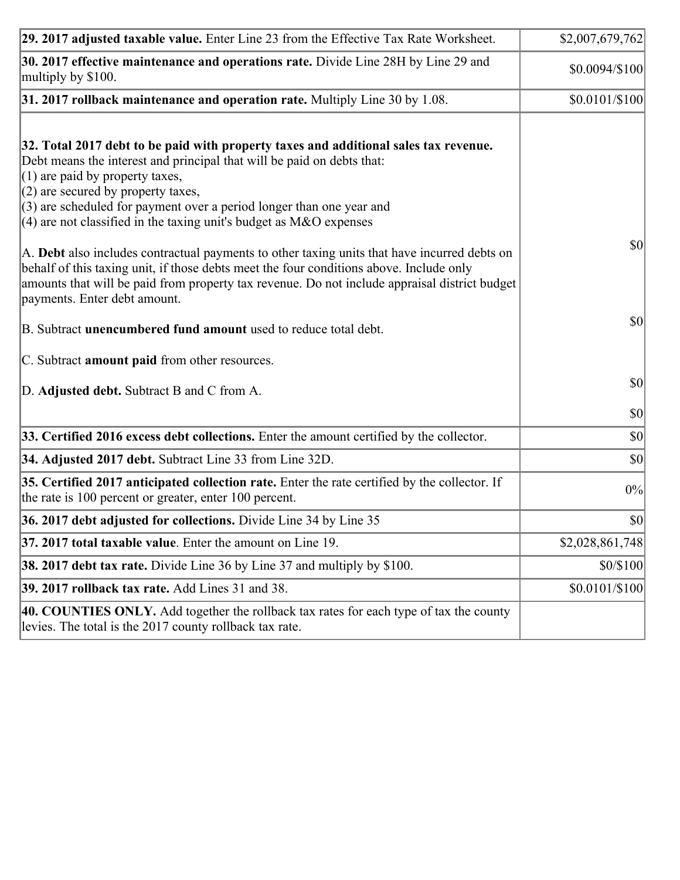| 29. 2017 adjusted taxable value. Enter Line 23 from the Effective Tax Rate Worksheet.                                                                                                                                                                                                                                                                                                         | \$2,007,679,762 |
|-----------------------------------------------------------------------------------------------------------------------------------------------------------------------------------------------------------------------------------------------------------------------------------------------------------------------------------------------------------------------------------------------|-----------------|
| 30. 2017 effective maintenance and operations rate. Divide Line 28H by Line 29 and<br>multiply by \$100.                                                                                                                                                                                                                                                                                      | \$0.0094/\$100  |
| $31.2017$ rollback maintenance and operation rate. Multiply Line 30 by 1.08.                                                                                                                                                                                                                                                                                                                  | $$0.0101/\$100$ |
| 32. Total 2017 debt to be paid with property taxes and additional sales tax revenue.<br>Debt means the interest and principal that will be paid on debts that:<br>$(1)$ are paid by property taxes,<br>$(2)$ are secured by property taxes,<br>$(3)$ are scheduled for payment over a period longer than one year and<br>(4) are not classified in the taxing unit's budget as $M&O$ expenses |                 |
| A. Debt also includes contractual payments to other taxing units that have incurred debts on<br>behalf of this taxing unit, if those debts meet the four conditions above. Include only<br>amounts that will be paid from property tax revenue. Do not include appraisal district budget<br>payments. Enter debt amount.                                                                      | $ 10\rangle$    |
| B. Subtract unencumbered fund amount used to reduce total debt.                                                                                                                                                                                                                                                                                                                               | $ 10\rangle$    |
| C. Subtract amount paid from other resources.                                                                                                                                                                                                                                                                                                                                                 |                 |
| D. Adjusted debt. Subtract B and C from A.                                                                                                                                                                                                                                                                                                                                                    | <b>\$0</b>      |
|                                                                                                                                                                                                                                                                                                                                                                                               | $ 10\rangle$    |
| 33. Certified 2016 excess debt collections. Enter the amount certified by the collector.                                                                                                                                                                                                                                                                                                      | $ 10\rangle$    |
| 34. Adjusted 2017 debt. Subtract Line 33 from Line 32D.                                                                                                                                                                                                                                                                                                                                       | $ 10\rangle$    |
| 35. Certified 2017 anticipated collection rate. Enter the rate certified by the collector. If<br>the rate is 100 percent or greater, enter 100 percent.                                                                                                                                                                                                                                       | 0%              |
| 36. 2017 debt adjusted for collections. Divide Line 34 by Line 35                                                                                                                                                                                                                                                                                                                             | $ 10\rangle$    |
| 37. 2017 total taxable value. Enter the amount on Line 19.                                                                                                                                                                                                                                                                                                                                    | \$2,028,861,748 |
| <b>38. 2017 debt tax rate.</b> Divide Line 36 by Line 37 and multiply by \$100.                                                                                                                                                                                                                                                                                                               | \$0/\$100       |
| 39. 2017 rollback tax rate. Add Lines 31 and 38.                                                                                                                                                                                                                                                                                                                                              | \$0.0101/\$100  |
| 40. COUNTIES ONLY. Add together the rollback tax rates for each type of tax the county<br>levies. The total is the 2017 county rollback tax rate.                                                                                                                                                                                                                                             |                 |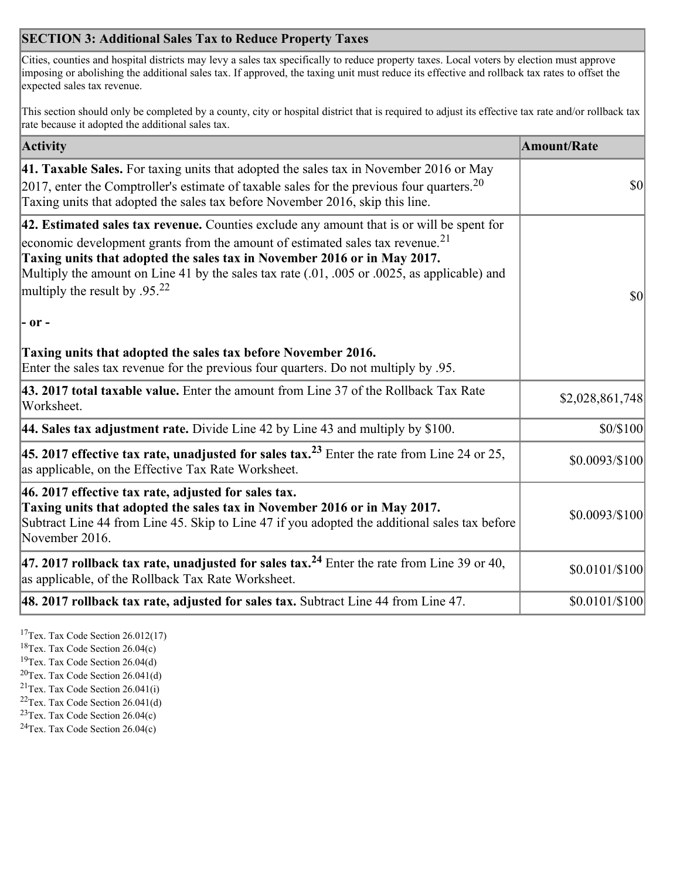## **SECTION 3: Additional Sales Tax to Reduce Property Taxes**

Cities, counties and hospital districts may levy a sales tax specifically to reduce property taxes. Local voters by election must approve imposing or abolishing the additional sales tax. If approved, the taxing unit must reduce its effective and rollback tax rates to offset the expected sales tax revenue.

This section should only be completed by a county, city or hospital district that is required to adjust its effective tax rate and/or rollback tax rate because it adopted the additional sales tax.

| <b>Activity</b>                                                                                                                                                                                                                                                                                                                                                                                                 | <b>Amount/Rate</b> |
|-----------------------------------------------------------------------------------------------------------------------------------------------------------------------------------------------------------------------------------------------------------------------------------------------------------------------------------------------------------------------------------------------------------------|--------------------|
| 41. Taxable Sales. For taxing units that adopted the sales tax in November 2016 or May<br>[2017, enter the Comptroller's estimate of taxable sales for the previous four quarters. <sup>20</sup><br>Taxing units that adopted the sales tax before November 2016, skip this line.                                                                                                                               | $\vert$ so $\vert$ |
| 42. Estimated sales tax revenue. Counties exclude any amount that is or will be spent for<br>economic development grants from the amount of estimated sales tax revenue. <sup>21</sup><br>Taxing units that adopted the sales tax in November 2016 or in May 2017.<br>Multiply the amount on Line 41 by the sales tax rate (.01, .005 or .0025, as applicable) and<br>multiply the result by .95. <sup>22</sup> | \$0                |
| $ -$ or $-$                                                                                                                                                                                                                                                                                                                                                                                                     |                    |
| Taxing units that adopted the sales tax before November 2016.<br>Enter the sales tax revenue for the previous four quarters. Do not multiply by .95.                                                                                                                                                                                                                                                            |                    |
| 43. 2017 total taxable value. Enter the amount from Line 37 of the Rollback Tax Rate<br>Worksheet.                                                                                                                                                                                                                                                                                                              | \$2,028,861,748    |
| 44. Sales tax adjustment rate. Divide Line 42 by Line 43 and multiply by $$100$ .                                                                                                                                                                                                                                                                                                                               | \$0/\$100          |
| 45. 2017 effective tax rate, unadjusted for sales tax. <sup>23</sup> Enter the rate from Line 24 or 25,<br>as applicable, on the Effective Tax Rate Worksheet.                                                                                                                                                                                                                                                  | \$0.0093/\$100     |
| 46. 2017 effective tax rate, adjusted for sales tax.<br>Taxing units that adopted the sales tax in November 2016 or in May 2017.<br>Subtract Line 44 from Line 45. Skip to Line 47 if you adopted the additional sales tax before<br>November 2016.                                                                                                                                                             | \$0.0093/\$100     |
| 47. 2017 rollback tax rate, unadjusted for sales tax. <sup>24</sup> Enter the rate from Line 39 or 40,<br>as applicable, of the Rollback Tax Rate Worksheet.                                                                                                                                                                                                                                                    | \$0.0101/\$100     |
| $ 48.2017$ rollback tax rate, adjusted for sales tax. Subtract Line 44 from Line 47.                                                                                                                                                                                                                                                                                                                            | $$0.0101/\$100$    |

<sup>17</sup>Tex. Tax Code Section 26.012(17)

<sup>18</sup>Tex. Tax Code Section 26.04(c)

<sup>19</sup>Tex. Tax Code Section 26.04(d)

<sup>20</sup>Tex. Tax Code Section 26.041(d)

- $21$ Tex. Tax Code Section 26.041(i)
- <sup>22</sup>Tex. Tax Code Section 26.041(d)
- <sup>23</sup>Tex. Tax Code Section  $26.04(c)$

<sup>24</sup>Tex. Tax Code Section  $26.04(c)$